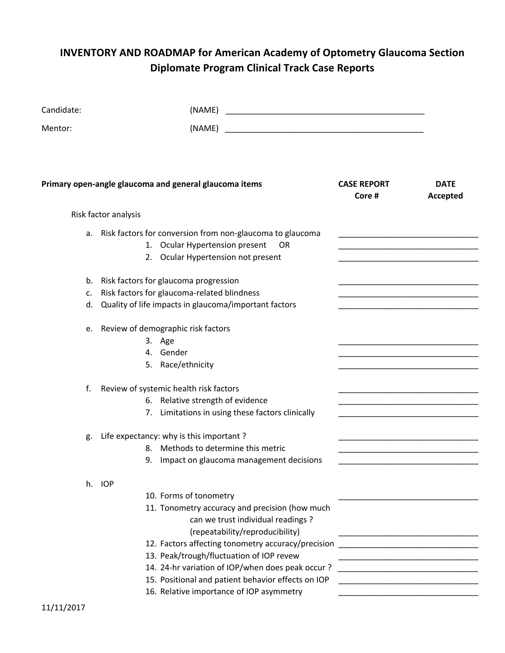# **INVENTORY AND ROADMAP for American Academy of Optometry Glaucoma Section Diplomate Program Clinical Track Case Reports**

| Candidate:     | (NAME)                                                                                                                                                                                                                                                                                                                                                                                                             |                             |                         |
|----------------|--------------------------------------------------------------------------------------------------------------------------------------------------------------------------------------------------------------------------------------------------------------------------------------------------------------------------------------------------------------------------------------------------------------------|-----------------------------|-------------------------|
| Mentor:        | (NAME)                                                                                                                                                                                                                                                                                                                                                                                                             |                             |                         |
|                | Primary open-angle glaucoma and general glaucoma items                                                                                                                                                                                                                                                                                                                                                             | <b>CASE REPORT</b><br>Core# | <b>DATE</b><br>Accepted |
|                | Risk factor analysis                                                                                                                                                                                                                                                                                                                                                                                               |                             |                         |
|                | a. Risk factors for conversion from non-glaucoma to glaucoma<br>1. Ocular Hypertension present<br>0R<br>2. Ocular Hypertension not present                                                                                                                                                                                                                                                                         |                             |                         |
| b.<br>c.<br>d. | Risk factors for glaucoma progression<br>Risk factors for glaucoma-related blindness<br>Quality of life impacts in glaucoma/important factors                                                                                                                                                                                                                                                                      |                             |                         |
|                | e. Review of demographic risk factors<br>3. Age<br>4. Gender<br>5. Race/ethnicity                                                                                                                                                                                                                                                                                                                                  |                             |                         |
| f.             | Review of systemic health risk factors<br>6. Relative strength of evidence<br>7. Limitations in using these factors clinically                                                                                                                                                                                                                                                                                     |                             |                         |
| g.             | Life expectancy: why is this important?<br>8. Methods to determine this metric<br>Impact on glaucoma management decisions<br>9.                                                                                                                                                                                                                                                                                    |                             |                         |
|                | h. IOP<br>10. Forms of tonometry<br>11. Tonometry accuracy and precision (how much<br>can we trust individual readings?<br>(repeatability/reproducibility)<br>12. Factors affecting tonometry accuracy/precision<br>13. Peak/trough/fluctuation of IOP revew<br>14. 24-hr variation of IOP/when does peak occur?<br>15. Positional and patient behavior effects on IOP<br>16. Relative importance of IOP asymmetry |                             |                         |

11/11/2017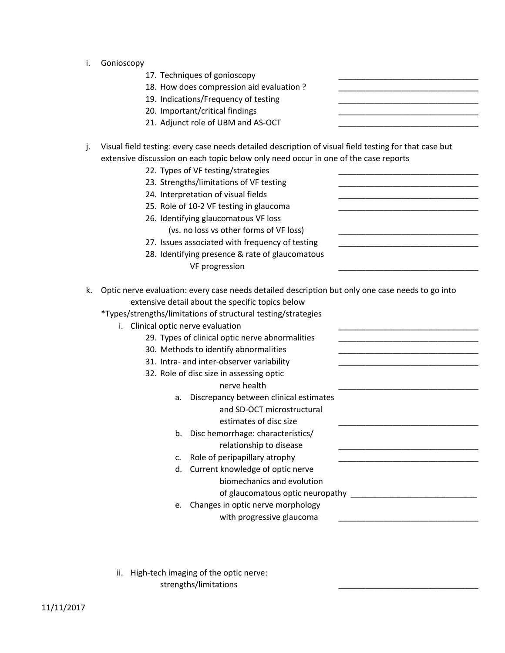- i. Gonioscopy
	- 17. Techniques of gonioscopy
	- 18. How does compression aid evaluation ?
	- 19. Indications/Frequency of testing
	- 20. Important/critical findings
	- 21. Adjunct role of UBM and AS-OCT
- j. Visual field testing: every case needs detailed description of visual field testing for that case but extensive discussion on each topic below only need occur in one of the case reports
	- 22. Types of VF testing/strategies
	- 23. Strengths/limitations of VF testing
	- 24. Interpretation of visual fields
	- 25. Role of 10-2 VF testing in glaucoma
	- 26. Identifying glaucomatous VF loss
		- (vs. no loss vs other forms of VF loss)
	- 27. Issues associated with frequency of testing
	- 28. Identifying presence & rate of glaucomatous VF progression
- k. Optic nerve evaluation: every case needs detailed description but only one case needs to go into extensive detail about the specific topics below
	- \*Types/strengths/limitations of structural testing/strategies
		- i. Clinical optic nerve evaluation
			- 29. Types of clinical optic nerve abnormalities
			- 30. Methods to identify abnormalities
			- 31. Intra- and inter-observer variability
			- 32. Role of disc size in assessing optic
				- nerve health
				- a. Discrepancy between clinical estimates and SD-OCT microstructural estimates of disc size
				- b. Disc hemorrhage: characteristics/ relationship to disease
				- c. Role of peripapillary atrophy
				- d. Current knowledge of optic nerve biomechanics and evolution of glaucomatous optic neuropathy **EXECUTE:**  $\frac{1}{2}$
				- e. Changes in optic nerve morphology
					- with progressive glaucoma
		- ii. High-tech imaging of the optic nerve: strengths/limitations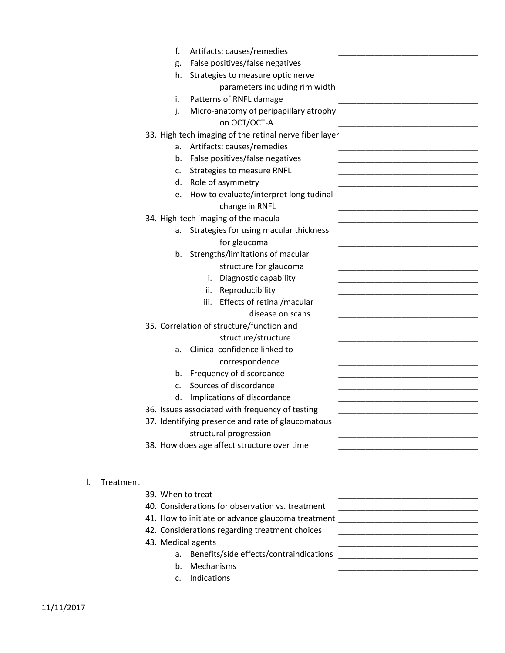| f.<br>Artifacts: causes/remedies                       |                                            |
|--------------------------------------------------------|--------------------------------------------|
| False positives/false negatives<br>g.                  |                                            |
| Strategies to measure optic nerve<br>h.                |                                            |
| parameters including rim width                         | <u> 2000 - Jan James James Alexander (</u> |
| Patterns of RNFL damage<br>i.                          |                                            |
| Micro-anatomy of peripapillary atrophy<br>j.           |                                            |
| on OCT/OCT-A                                           |                                            |
| 33. High tech imaging of the retinal nerve fiber layer |                                            |
| a. Artifacts: causes/remedies                          |                                            |
| False positives/false negatives<br>b.                  |                                            |
| <b>Strategies to measure RNFL</b><br>c.                |                                            |
| Role of asymmetry<br>d.                                |                                            |
| How to evaluate/interpret longitudinal<br>e.           |                                            |
| change in RNFL                                         |                                            |
| 34. High-tech imaging of the macula                    |                                            |
| Strategies for using macular thickness<br>а.           |                                            |
| for glaucoma                                           |                                            |
| Strengths/limitations of macular<br>b.                 |                                            |
| structure for glaucoma                                 |                                            |
| Diagnostic capability<br>i.                            |                                            |
| Reproducibility<br>ii.                                 |                                            |
| Effects of retinal/macular<br>iii.                     |                                            |
| disease on scans                                       |                                            |
| 35. Correlation of structure/function and              |                                            |
| structure/structure                                    |                                            |
| Clinical confidence linked to<br>a.                    |                                            |
| correspondence                                         |                                            |
| Frequency of discordance<br>b.                         |                                            |
| Sources of discordance<br>c.                           |                                            |
| Implications of discordance<br>d.                      |                                            |
| 36. Issues associated with frequency of testing        |                                            |
| 37. Identifying presence and rate of glaucomatous      |                                            |
| structural progression                                 |                                            |
| 38. How does age affect structure over time            |                                            |
|                                                        |                                            |
|                                                        |                                            |
| Treatment<br>I.                                        |                                            |
| 39. When to treat                                      |                                            |
| 40. Considerations for observation vs. treatment       |                                            |
| 41. How to initiate or advance glaucoma treatment      |                                            |
| 42. Considerations regarding treatment choices         |                                            |
| 43. Medical agents                                     |                                            |
| Benefits/side effects/contraindications<br>a.          |                                            |
| Mechanisms<br>b.                                       |                                            |
| Indications<br>c.                                      |                                            |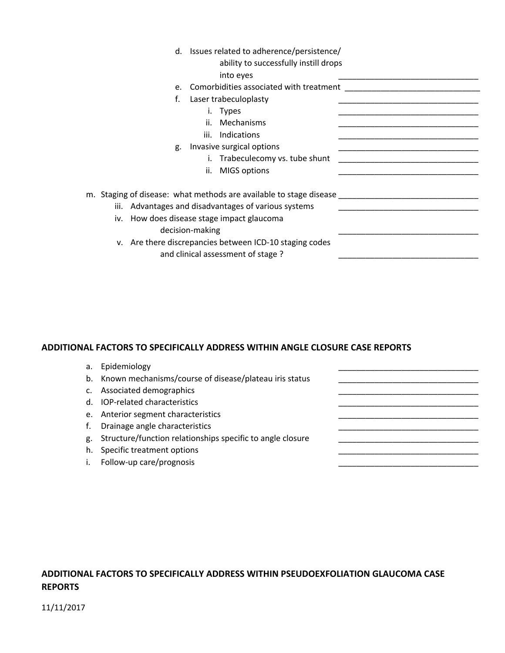|    | d. Issues related to adherence/persistence/<br>ability to successfully instill drops<br>into eyes                                                                                                                                                                                           |  |
|----|---------------------------------------------------------------------------------------------------------------------------------------------------------------------------------------------------------------------------------------------------------------------------------------------|--|
| e. | Comorbidities associated with treatment                                                                                                                                                                                                                                                     |  |
| f. | Laser trabeculoplasty                                                                                                                                                                                                                                                                       |  |
|    | <b>Types</b><br>İ.                                                                                                                                                                                                                                                                          |  |
|    | ii.<br>Mechanisms                                                                                                                                                                                                                                                                           |  |
|    | iii.<br>Indications                                                                                                                                                                                                                                                                         |  |
| g. | Invasive surgical options                                                                                                                                                                                                                                                                   |  |
|    | Trabeculecomy vs. tube shunt                                                                                                                                                                                                                                                                |  |
|    | <b>MIGS options</b><br>ii.                                                                                                                                                                                                                                                                  |  |
|    | m. Staging of disease: what methods are available to stage disease<br>iii. Advantages and disadvantages of various systems<br>iv. How does disease stage impact glaucoma<br>decision-making<br>v. Are there discrepancies between ICD-10 staging codes<br>and clinical assessment of stage? |  |

### **ADDITIONAL FACTORS TO SPECIFICALLY ADDRESS WITHIN ANGLE CLOSURE CASE REPORTS**

| a. Epidemiology |  |
|-----------------|--|
|                 |  |

- b. Known mechanisms/course of disease/plateau iris status \_\_\_\_\_\_\_\_\_\_\_\_\_\_\_\_\_\_\_\_\_\_\_
- c. Associated demographics
- d. IOP-related characteristics example and the contract of the contract of the contract of the contract of the contract of the contract of the contract of the contract of the contract of the contract of the contract of the
- e. Anterior segment characteristics
- f. Drainage angle characteristics
- g. Structure/function relationships specific to angle closure \_\_\_\_\_\_\_\_\_\_\_\_\_\_\_\_\_\_\_\_\_\_\_\_\_
- h. Specific treatment options
- i. Follow-up care/prognosis

## **ADDITIONAL FACTORS TO SPECIFICALLY ADDRESS WITHIN PSEUDOEXFOLIATION GLAUCOMA CASE REPORTS**

### 11/11/2017